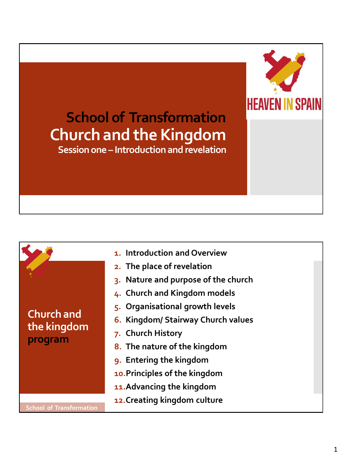# **School of Transformation Church and the Kingdom**

**HEAVEN I** 

**Session one – Introduction and revelation**

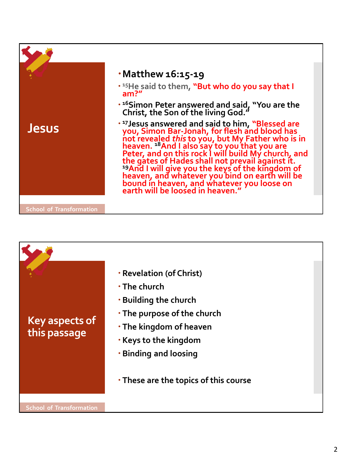

|                                       | <b>· Revelation (of Christ)</b>                                                                                                                                                                              |
|---------------------------------------|--------------------------------------------------------------------------------------------------------------------------------------------------------------------------------------------------------------|
| <b>Key aspects of</b><br>this passage | $\cdot$ The church<br><b>· Building the church</b><br>• The purpose of the church<br>• The kingdom of heaven<br><b>Keys to the kingdom</b><br>• Binding and loosing<br>• These are the topics of this course |
| <b>School of Transformation</b>       |                                                                                                                                                                                                              |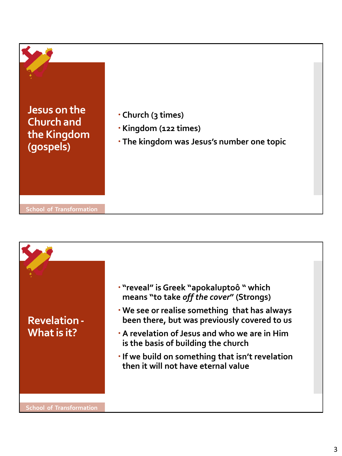

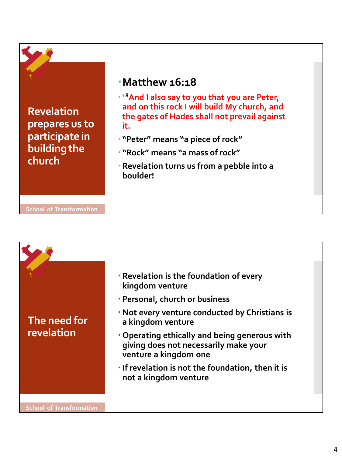

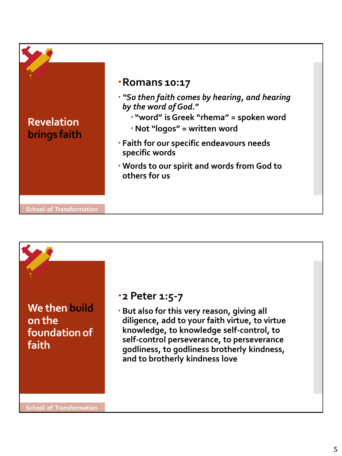



#### **2 Peter 1:5-7**

 **But also for this very reason, giving all diligence, add to your faith virtue, to virtue knowledge, to knowledge self-control, to self-control perseverance, to perseverance godliness, to godliness brotherly kindness, and to brotherly kindness love**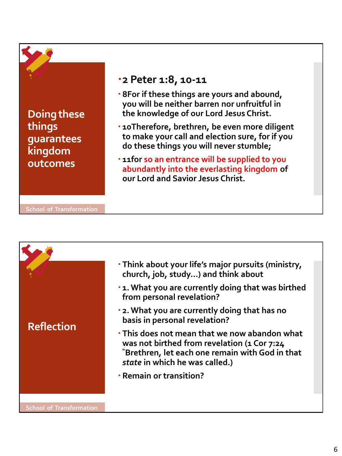**Doing these things guarantees kingdom outcomes**

# **2 Peter 1:8, 10-11**

- **8For if these things are yours and abound, you will be neither barren nor unfruitful in the knowledge of our Lord Jesus Christ.**
- **10Therefore, brethren, be even more diligent to make your call and election sure, for if you do these things you will never stumble;**
- **11for so an entrance will be supplied to you abundantly into the everlasting kingdom of our Lord and Savior Jesus Christ.**

**School of Transformation**

|                                 | . Think about your life's major pursuits (ministry,<br>church, job, study) and think about                                                                                        |  |
|---------------------------------|-----------------------------------------------------------------------------------------------------------------------------------------------------------------------------------|--|
| <b>Reflection</b>               | .1. What you are currently doing that was birthed<br>from personal revelation?                                                                                                    |  |
|                                 | . 2. What you are currently doing that has no<br>basis in personal revelation?                                                                                                    |  |
|                                 | . This does not mean that we now abandon what<br>was not birthed from revelation (1 Cor 7:24<br>"Brethren, let each one remain with God in that<br>state in which he was called.) |  |
|                                 | <b>· Remain or transition?</b>                                                                                                                                                    |  |
|                                 |                                                                                                                                                                                   |  |
| <b>School of Transformation</b> |                                                                                                                                                                                   |  |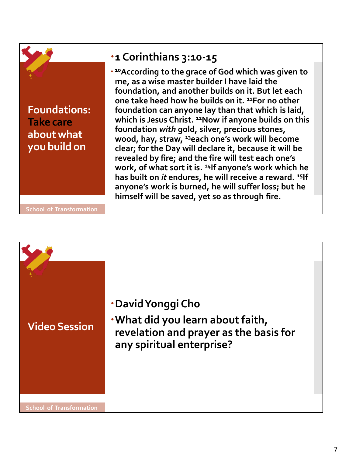

## **1 Corinthians 3:10-15**

 **<sup>10</sup>According to the grace of God which was given to me, as a wise master builder I have laid the foundation, and another builds on it. But let each one take heed how he builds on it. <sup>11</sup>For no other foundation can anyone lay than that which is laid, which is Jesus Christ. <sup>12</sup>Now if anyone builds on this foundation** *with* **gold, silver, precious stones, wood, hay, straw, <sup>13</sup>each one's work will become clear; for the Day will declare it, because it will be revealed by fire; and the fire will test each one's work, of what sort it is. <sup>14</sup>If anyone's work which he has built on** *it* **endures, he will receive a reward. <sup>15</sup>If anyone's work is burned, he will suffer loss; but he himself will be saved, yet so as through fire.**

**School of Transformation**

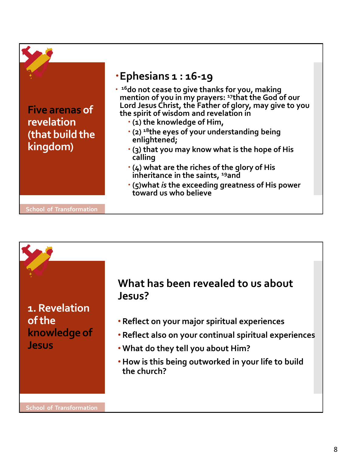|                                                                    | ·Ephesians 1 : 16-19                                                                                                                                                                                                                                                                                                                                                                                                                                                                                                                                                                                           |
|--------------------------------------------------------------------|----------------------------------------------------------------------------------------------------------------------------------------------------------------------------------------------------------------------------------------------------------------------------------------------------------------------------------------------------------------------------------------------------------------------------------------------------------------------------------------------------------------------------------------------------------------------------------------------------------------|
| <b>Five arenas of</b><br>revelation<br>(that build the<br>kingdom) | • <sup>16</sup> do not cease to give thanks for you, making<br>mention of you in my prayers: <sup>17</sup> that the God of our<br>Lord Jesus Christ, the Father of glory, may give to you<br>the spirit of wisdom and revelation in<br>. (1) the knowledge of Him,<br>$\cdot$ (2) <sup>18</sup> the eyes of your understanding being<br>enlightened;<br>$\cdot$ (3) that you may know what is the hope of His<br>calling<br>$\cdot$ (4) what are the riches of the glory of His<br>inheritance in the saints, <sup>19</sup> and<br>· (5) what is the exceeding greatness of His power<br>toward us who believe |
| <b>School of Transformation</b>                                    |                                                                                                                                                                                                                                                                                                                                                                                                                                                                                                                                                                                                                |

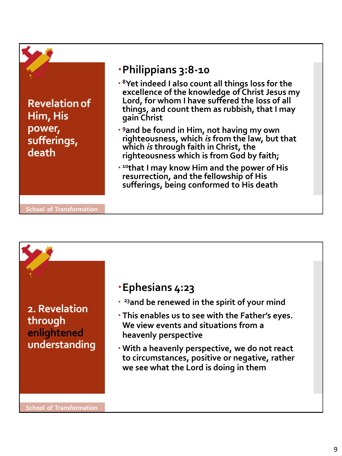

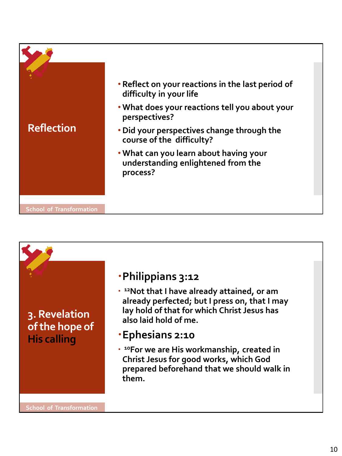| <b>Reflection</b>               | • Reflect on your reactions in the last period of<br>difficulty in your life             |
|---------------------------------|------------------------------------------------------------------------------------------|
|                                 | . What does your reactions tell you about your<br>perspectives?                          |
|                                 | • Did your perspectives change through the<br>course of the difficulty?                  |
|                                 | . What can you learn about having your<br>understanding enlightened from the<br>process? |
|                                 |                                                                                          |
| <b>School of Transformation</b> |                                                                                          |

# **3. Revelation of the hope of His calling**

# **Philippians 3:12**

- **<sup>12</sup>Not that I have already attained, or am already perfected; but I press on, that I may lay hold of that for which Christ Jesus has also laid hold of me.**
- **Ephesians 2:10**
- **<sup>10</sup>For we are His workmanship, created in Christ Jesus for good works, which God prepared beforehand that we should walk in them.**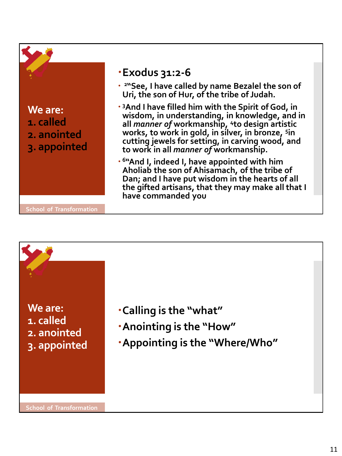

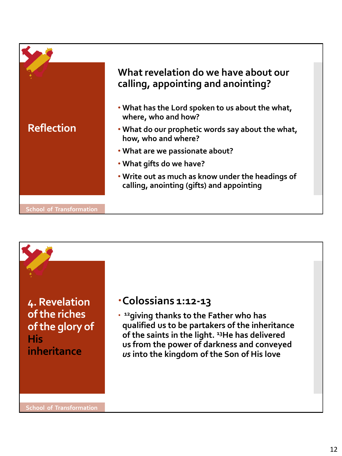|                                 | What revelation do we have about our<br>calling, appointing and anointing?                     |
|---------------------------------|------------------------------------------------------------------------------------------------|
|                                 | . What has the Lord spoken to us about the what,<br>where, who and how?                        |
| <b>Reflection</b>               | . What do our prophetic words say about the what,<br>how, who and where?                       |
|                                 | . What are we passionate about?                                                                |
|                                 | • What gifts do we have?                                                                       |
|                                 | . Write out as much as know under the headings of<br>calling, anointing (gifts) and appointing |
| <b>School of Transformation</b> |                                                                                                |



#### **Colossians 1:12-13**

 **<sup>12</sup>giving thanks to the Father who has qualified us to be partakers of the inheritance of the saints in the light. <sup>13</sup>He has delivered us from the power of darkness and conveyed**  *us* **into the kingdom of the Son of His love**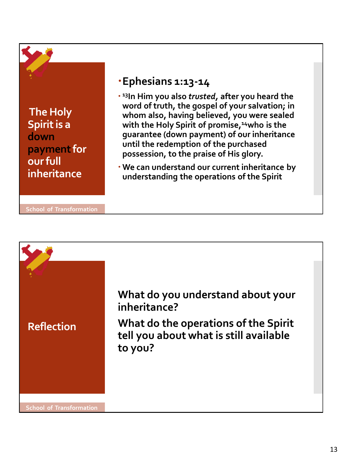**The Holy Spirit is a down payment for our full inheritance**

## **Ephesians 1:13-14**

- **<sup>13</sup>In Him you also** *trusted,* **after you heard the word of truth, the gospel of your salvation; in whom also, having believed, you were sealed with the Holy Spirit of promise,<sup>14</sup>who is the guarantee (down payment) of our inheritance until the redemption of the purchased possession, to the praise of His glory.**
- **We can understand our current inheritance by understanding the operations of the Spirit**

**School of Transformation**

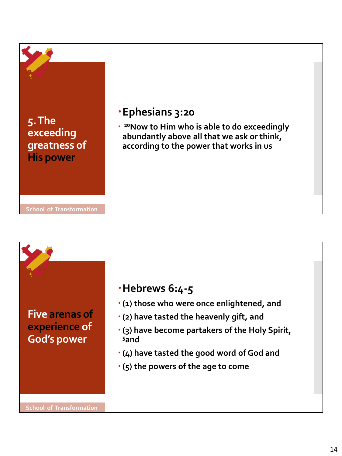

## **Five arenas of experience of God's power**

#### **Hebrews 6:4-5**

- **(1) those who were once enlightened, and**
- **(2) have tasted the heavenly gift, and**
- **(3) have become partakers of the Holy Spirit, <sup>5</sup>and**
- **(4) have tasted the good word of God and**
- **(5) the powers of the age to come**